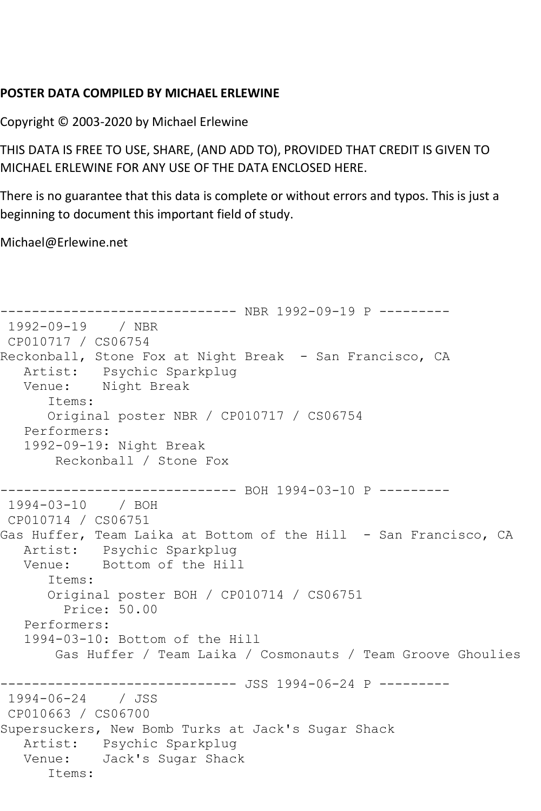## **POSTER DATA COMPILED BY MICHAEL ERLEWINE**

Copyright © 2003-2020 by Michael Erlewine

THIS DATA IS FREE TO USE, SHARE, (AND ADD TO), PROVIDED THAT CREDIT IS GIVEN TO MICHAEL ERLEWINE FOR ANY USE OF THE DATA ENCLOSED HERE.

There is no guarantee that this data is complete or without errors and typos. This is just a beginning to document this important field of study.

Michael@Erlewine.net

```
------------------------------ NBR 1992-09-19 P ---------
1992-09-19 / NBR 
CP010717 / CS06754
Reckonball, Stone Fox at Night Break - San Francisco, CA
   Artist: Psychic Sparkplug
   Venue: Night Break
       Items:
       Original poster NBR / CP010717 / CS06754
   Performers:
   1992-09-19: Night Break
       Reckonball / Stone Fox
                ------------------------------ BOH 1994-03-10 P ---------
1994-03-10 / BOH 
CP010714 / CS06751
Gas Huffer, Team Laika at Bottom of the Hill - San Francisco, CA
   Artist: Psychic Sparkplug
   Venue: Bottom of the Hill
       Items:
       Original poster BOH / CP010714 / CS06751
         Price: 50.00
   Performers:
   1994-03-10: Bottom of the Hill
       Gas Huffer / Team Laika / Cosmonauts / Team Groove Ghoulies
                   ------------ JSS 1994-06-24 P ---------
1994-06-24 / JSS 
CP010663 / CS06700
Supersuckers, New Bomb Turks at Jack's Sugar Shack
   Artist: Psychic Sparkplug
   Venue: Jack's Sugar Shack
       Items:
```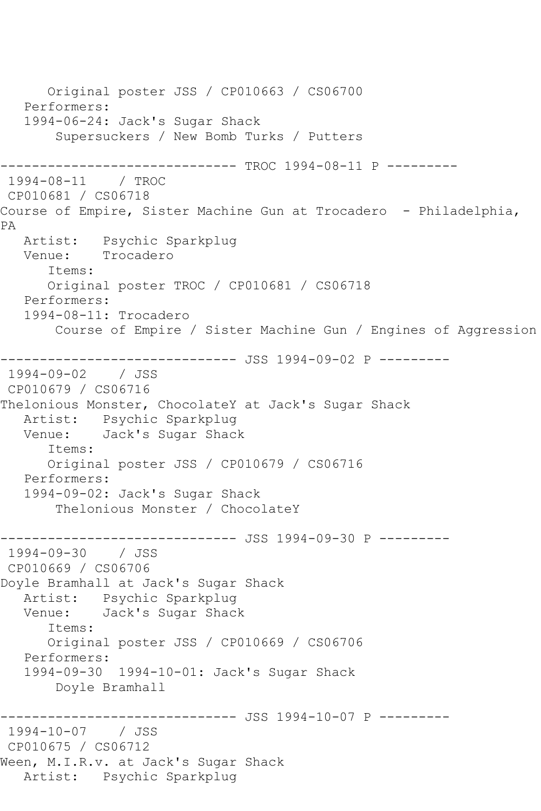Original poster JSS / CP010663 / CS06700 Performers: 1994-06-24: Jack's Sugar Shack Supersuckers / New Bomb Turks / Putters ---------- TROC 1994-08-11 P ---------1994-08-11 / TROC CP010681 / CS06718 Course of Empire, Sister Machine Gun at Trocadero - Philadelphia, PA Artist: Psychic Sparkplug Venue: Trocadero Items: Original poster TROC / CP010681 / CS06718 Performers: 1994-08-11: Trocadero Course of Empire / Sister Machine Gun / Engines of Aggression ------------------------------ JSS 1994-09-02 P --------- 1994-09-02 / JSS CP010679 / CS06716 Thelonious Monster, ChocolateY at Jack's Sugar Shack Artist: Psychic Sparkplug Venue: Jack's Sugar Shack Items: Original poster JSS / CP010679 / CS06716 Performers: 1994-09-02: Jack's Sugar Shack Thelonious Monster / ChocolateY ----------- JSS 1994-09-30 P ---------1994-09-30 / JSS CP010669 / CS06706 Doyle Bramhall at Jack's Sugar Shack Artist: Psychic Sparkplug Venue: Jack's Sugar Shack Items: Original poster JSS / CP010669 / CS06706 Performers: 1994-09-30 1994-10-01: Jack's Sugar Shack Doyle Bramhall ------------------------------ JSS 1994-10-07 P --------- 1994-10-07 / JSS CP010675 / CS06712 Ween, M.I.R.v. at Jack's Sugar Shack Artist: Psychic Sparkplug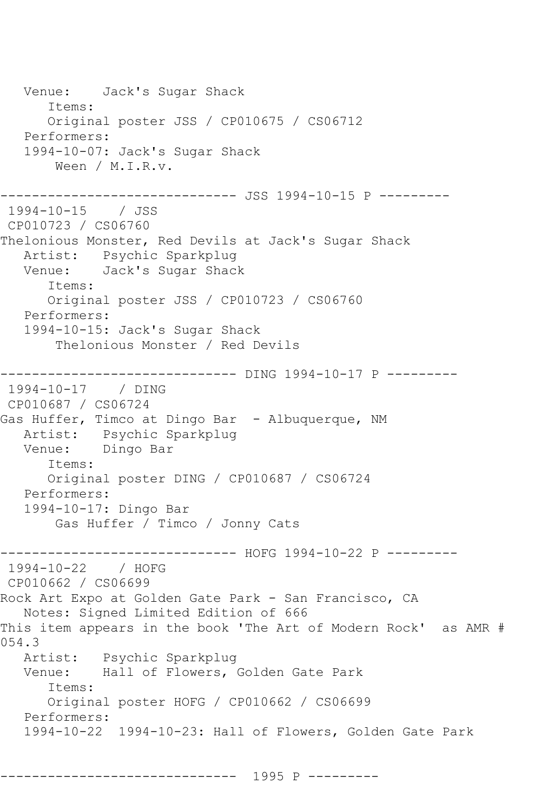Venue: Jack's Sugar Shack Items: Original poster JSS / CP010675 / CS06712 Performers: 1994-10-07: Jack's Sugar Shack Ween / M.I.R.v. ------------------------------ JSS 1994-10-15 P --------- 1994-10-15 / JSS CP010723 / CS06760 Thelonious Monster, Red Devils at Jack's Sugar Shack Artist: Psychic Sparkplug<br>Venue: Jack's Sugar Shac Jack's Sugar Shack Items: Original poster JSS / CP010723 / CS06760 Performers: 1994-10-15: Jack's Sugar Shack Thelonious Monster / Red Devils ------------------------------ DING 1994-10-17 P --------- 1994-10-17 / DING CP010687 / CS06724 Gas Huffer, Timco at Dingo Bar - Albuquerque, NM Artist: Psychic Sparkplug Venue: Dingo Bar Items: Original poster DING / CP010687 / CS06724 Performers: 1994-10-17: Dingo Bar Gas Huffer / Timco / Jonny Cats -------------- HOFG 1994-10-22 P ---------1994-10-22 / HOFG CP010662 / CS06699 Rock Art Expo at Golden Gate Park - San Francisco, CA Notes: Signed Limited Edition of 666 This item appears in the book 'The Art of Modern Rock' as AMR # 054.3 Artist: Psychic Sparkplug<br>Venue: Hall of Flowers. Hall of Flowers, Golden Gate Park Items: Original poster HOFG / CP010662 / CS06699 Performers: 1994-10-22 1994-10-23: Hall of Flowers, Golden Gate Park

------------------------------ 1995 P ---------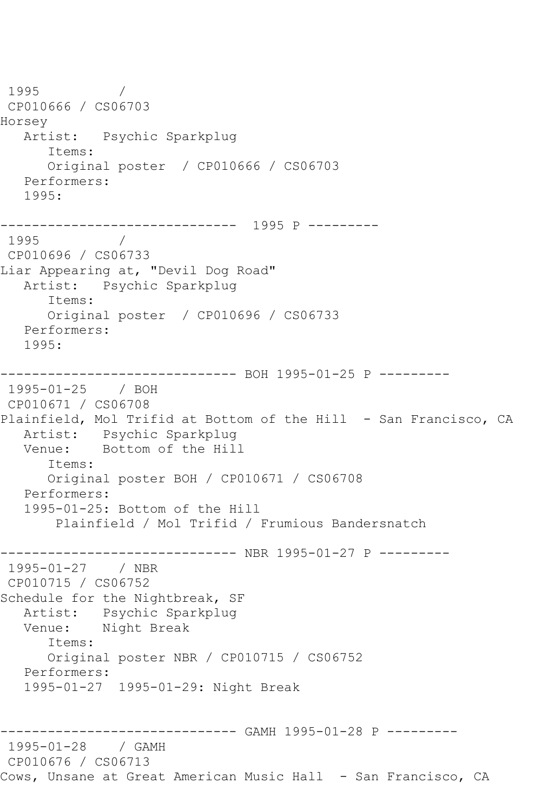1995 / CP010666 / CS06703 Horsey Artist: Psychic Sparkplug Items: Original poster / CP010666 / CS06703 Performers: 1995: ------------------------------ 1995 P --------- 1995 / CP010696 / CS06733 Liar Appearing at, "Devil Dog Road" Artist: Psychic Sparkplug Items: Original poster / CP010696 / CS06733 Performers: 1995: ------------------------------ BOH 1995-01-25 P --------- 1995-01-25 / BOH CP010671 / CS06708 Plainfield, Mol Trifid at Bottom of the Hill - San Francisco, CA Artist: Psychic Sparkplug Venue: Bottom of the Hill Items: Original poster BOH / CP010671 / CS06708 Performers: 1995-01-25: Bottom of the Hill Plainfield / Mol Trifid / Frumious Bandersnatch ------------------------------ NBR 1995-01-27 P --------- 1995-01-27 / NBR CP010715 / CS06752 Schedule for the Nightbreak, SF Artist: Psychic Sparkplug<br>Venue: Night Break Night Break Items: Original poster NBR / CP010715 / CS06752 Performers: 1995-01-27 1995-01-29: Night Break ------------------------------ GAMH 1995-01-28 P --------- 1995-01-28 / GAMH CP010676 / CS06713 Cows, Unsane at Great American Music Hall - San Francisco, CA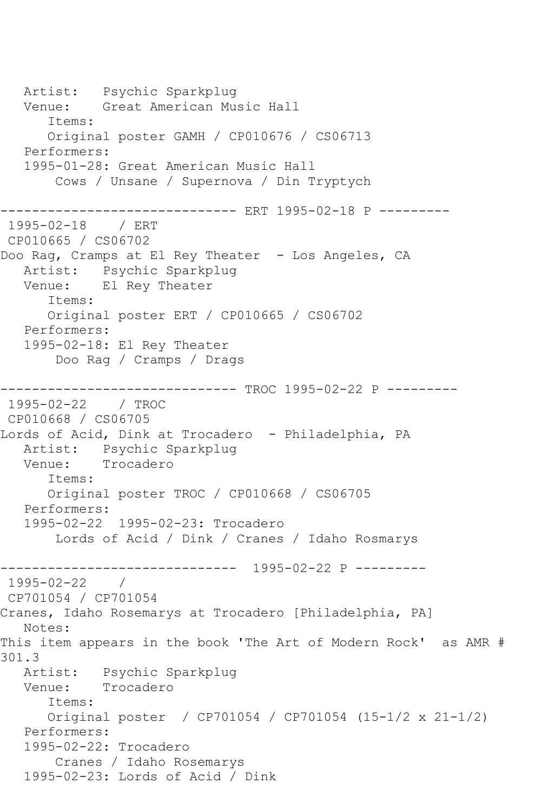Artist: Psychic Sparkplug Venue: Great American Music Hall Items: Original poster GAMH / CP010676 / CS06713 Performers: 1995-01-28: Great American Music Hall Cows / Unsane / Supernova / Din Tryptych ------------ ERT 1995-02-18 P ---------1995-02-18 / ERT CP010665 / CS06702 Doo Rag, Cramps at El Rey Theater - Los Angeles, CA Artist: Psychic Sparkplug Venue: El Rey Theater Items: Original poster ERT / CP010665 / CS06702 Performers: 1995-02-18: El Rey Theater Doo Rag / Cramps / Drags ------------------------------ TROC 1995-02-22 P --------- 1995-02-22 / TROC CP010668 / CS06705 Lords of Acid, Dink at Trocadero - Philadelphia, PA Artist: Psychic Sparkplug<br>Venue: Trocadero Trocadero Items: Original poster TROC / CP010668 / CS06705 Performers: 1995-02-22 1995-02-23: Trocadero Lords of Acid / Dink / Cranes / Idaho Rosmarys ------------------------------ 1995-02-22 P ---------  $1995 - 02 - 22$ CP701054 / CP701054 Cranes, Idaho Rosemarys at Trocadero [Philadelphia, PA] Notes: This item appears in the book 'The Art of Modern Rock' as AMR # 301.3<br>: Artist Psychic Sparkplug Venue: Trocadero Items: Original poster / CP701054 / CP701054 (15-1/2 x 21-1/2) Performers: 1995-02-22: Trocadero Cranes / Idaho Rosemarys 1995-02-23: Lords of Acid / Dink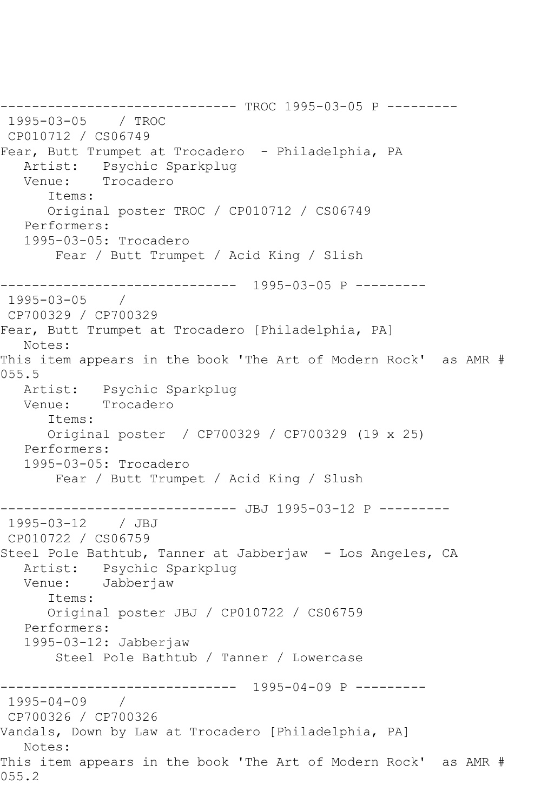------------------------------ TROC 1995-03-05 P --------- 1995-03-05 / TROC CP010712 / CS06749 Fear, Butt Trumpet at Trocadero - Philadelphia, PA Artist: Psychic Sparkplug<br>Venue: Trocadero Trocadero Items: Original poster TROC / CP010712 / CS06749 Performers: 1995-03-05: Trocadero Fear / Butt Trumpet / Acid King / Slish ------------------------------ 1995-03-05 P --------- 1995-03-05 / CP700329 / CP700329 Fear, Butt Trumpet at Trocadero [Philadelphia, PA] Notes: This item appears in the book 'The Art of Modern Rock' as AMR # 055.5 Artist: Psychic Sparkplug Venue: Trocadero Items: Original poster / CP700329 / CP700329 (19 x 25) Performers: 1995-03-05: Trocadero Fear / Butt Trumpet / Acid King / Slush --------------- JBJ 1995-03-12 P ---------1995-03-12 / JBJ CP010722 / CS06759 Steel Pole Bathtub, Tanner at Jabberjaw - Los Angeles, CA Artist: Psychic Sparkplug<br>Venue: Jabberiaw Jabberjaw Items: Original poster JBJ / CP010722 / CS06759 Performers: 1995-03-12: Jabberjaw Steel Pole Bathtub / Tanner / Lowercase ------------------------------ 1995-04-09 P --------- 1995-04-09 / CP700326 / CP700326 Vandals, Down by Law at Trocadero [Philadelphia, PA] Notes: This item appears in the book 'The Art of Modern Rock' as AMR # 055.2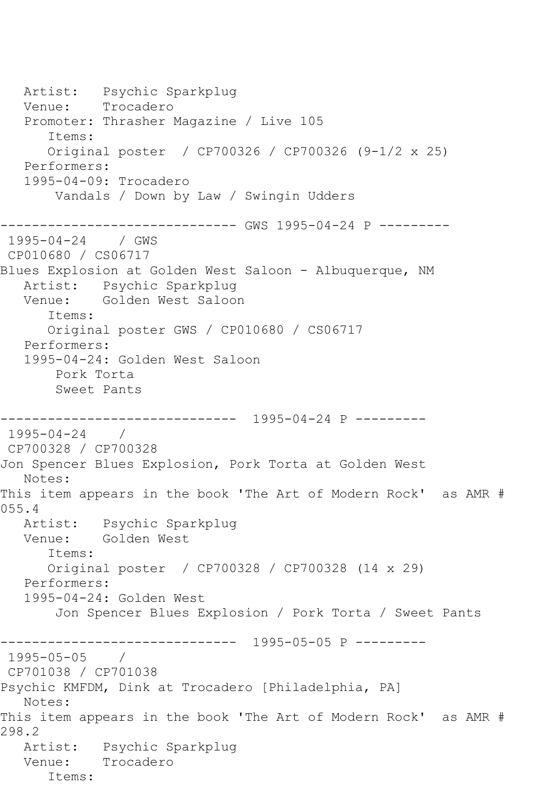Artist: Psychic Sparkplug Venue: Trocadero Promoter: Thrasher Magazine / Live 105 Items: Original poster / CP700326 / CP700326 (9-1/2 x 25) Performers: 1995-04-09: Trocadero Vandals / Down by Law / Swingin Udders ------------------------------ GWS 1995-04-24 P --------- 1995-04-24 / GWS CP010680 / CS06717 Blues Explosion at Golden West Saloon - Albuquerque, NM Artist: Psychic Sparkplug Venue: Golden West Saloon Items: Original poster GWS / CP010680 / CS06717 Performers: 1995-04-24: Golden West Saloon Pork Torta Sweet Pants ------------------------------ 1995-04-24 P --------- 1995-04-24 / CP700328 / CP700328 Jon Spencer Blues Explosion, Pork Torta at Golden West Notes: This item appears in the book 'The Art of Modern Rock' as AMR # 055.4 Artist: Psychic Sparkplug Venue: Golden West Items: Original poster / CP700328 / CP700328 (14 x 29) Performers: 1995-04-24: Golden West Jon Spencer Blues Explosion / Pork Torta / Sweet Pants ------------------------------ 1995-05-05 P ---------  $1995 - 05 - 05$ CP701038 / CP701038 Psychic KMFDM, Dink at Trocadero [Philadelphia, PA] Notes: This item appears in the book 'The Art of Modern Rock' as AMR # 298.2 Artist: Psychic Sparkplug Venue: Trocadero Items: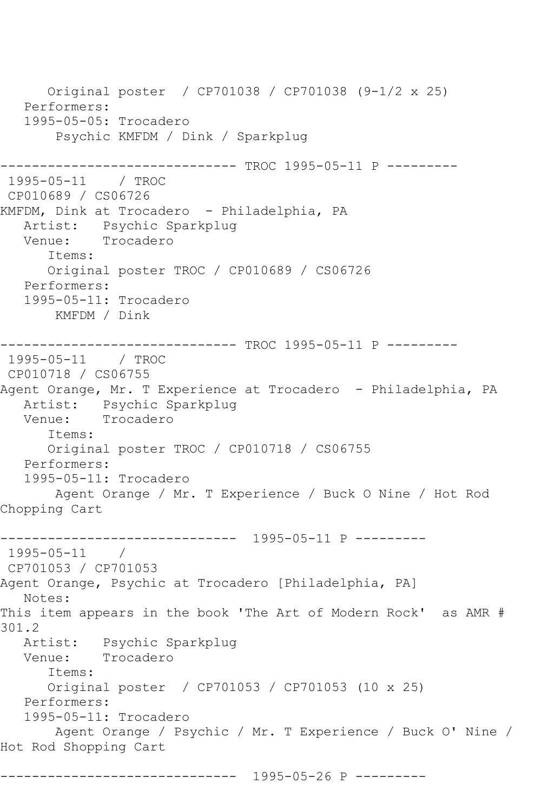Original poster / CP701038 / CP701038 (9-1/2 x 25) Performers: 1995-05-05: Trocadero Psychic KMFDM / Dink / Sparkplug ------------------------------ TROC 1995-05-11 P --------- 1995-05-11 / TROC CP010689 / CS06726 KMFDM, Dink at Trocadero - Philadelphia, PA Artist: Psychic Sparkplug<br>Venue: Trocadero Trocadero Items: Original poster TROC / CP010689 / CS06726 Performers: 1995-05-11: Trocadero KMFDM / Dink ------------------------------ TROC 1995-05-11 P --------- 1995-05-11 / TROC CP010718 / CS06755 Agent Orange, Mr. T Experience at Trocadero - Philadelphia, PA Artist: Psychic Sparkplug Venue: Trocadero Items: Original poster TROC / CP010718 / CS06755 Performers: 1995-05-11: Trocadero Agent Orange / Mr. T Experience / Buck O Nine / Hot Rod Chopping Cart ------------------------------ 1995-05-11 P --------- 1995-05-11 / CP701053 / CP701053 Agent Orange, Psychic at Trocadero [Philadelphia, PA] Notes: This item appears in the book 'The Art of Modern Rock' as AMR # 301.2 Artist: Psychic Sparkplug Venue: Trocadero Items: Original poster / CP701053 / CP701053 (10 x 25) Performers: 1995-05-11: Trocadero Agent Orange / Psychic / Mr. T Experience / Buck O' Nine / Hot Rod Shopping Cart

------------------------------ 1995-05-26 P ---------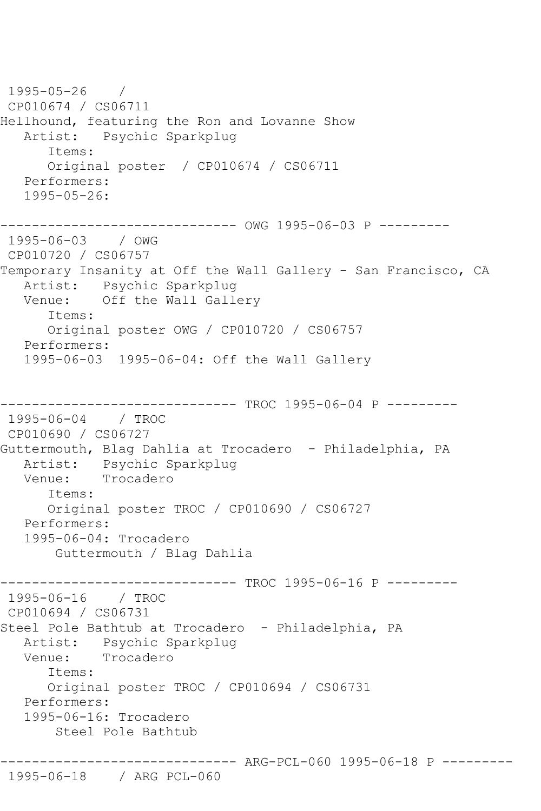1995-05-26 / CP010674 / CS06711 Hellhound, featuring the Ron and Lovanne Show Artist: Psychic Sparkplug Items: Original poster / CP010674 / CS06711 Performers: 1995-05-26: ------------------------------ OWG 1995-06-03 P --------- 1995-06-03 / OWG CP010720 / CS06757 Temporary Insanity at Off the Wall Gallery - San Francisco, CA Artist: Psychic Sparkplug Venue: Off the Wall Gallery Items: Original poster OWG / CP010720 / CS06757 Performers: 1995-06-03 1995-06-04: Off the Wall Gallery --------- TROC 1995-06-04 P ---------1995-06-04 / TROC CP010690 / CS06727 Guttermouth, Blag Dahlia at Trocadero - Philadelphia, PA Artist: Psychic Sparkplug Venue: Trocadero Items: Original poster TROC / CP010690 / CS06727 Performers: 1995-06-04: Trocadero Guttermouth / Blag Dahlia ------------------------------ TROC 1995-06-16 P --------- 1995-06-16 / TROC CP010694 / CS06731 Steel Pole Bathtub at Trocadero - Philadelphia, PA Artist: Psychic Sparkplug Venue: Trocadero Items: Original poster TROC / CP010694 / CS06731 Performers: 1995-06-16: Trocadero Steel Pole Bathtub ------------------------------ ARG-PCL-060 1995-06-18 P ---------

## 1995-06-18 / ARG PCL-060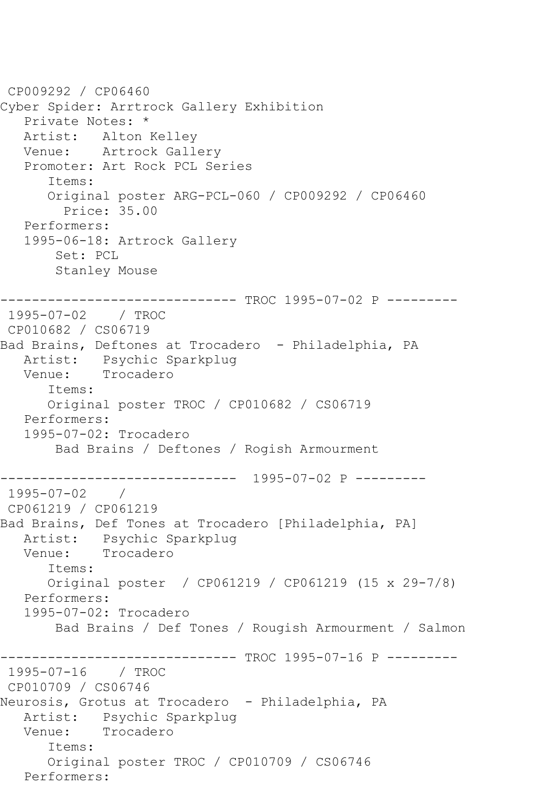```
CP009292 / CP06460
Cyber Spider: Arrtrock Gallery Exhibition
    Private Notes: *
   Artist: Alton Kelley
   Venue: Artrock Gallery
   Promoter: Art Rock PCL Series
       Items:
       Original poster ARG-PCL-060 / CP009292 / CP06460
         Price: 35.00
   Performers:
   1995-06-18: Artrock Gallery
        Set: PCL
        Stanley Mouse
         ------------------------------ TROC 1995-07-02 P ---------
1995-07-02 / TROC 
CP010682 / CS06719
Bad Brains, Deftones at Trocadero - Philadelphia, PA
  Artist: Psychic Sparkplug<br>Venue: Trocadero
            Trocadero
       Items:
       Original poster TROC / CP010682 / CS06719
   Performers:
    1995-07-02: Trocadero
        Bad Brains / Deftones / Rogish Armourment
------------------------------ 1995-07-02 P ---------
1995-07-02 / 
CP061219 / CP061219
Bad Brains, Def Tones at Trocadero [Philadelphia, PA]
   Artist: Psychic Sparkplug
   Venue: Trocadero
       Items:
       Original poster / CP061219 / CP061219 (15 x 29-7/8)
   Performers:
    1995-07-02: Trocadero
        Bad Brains / Def Tones / Rougish Armourment / Salmon
                  ------------- TROC 1995-07-16 P ---------
1995-07-16 / TROC 
CP010709 / CS06746
Neurosis, Grotus at Trocadero - Philadelphia, PA
  Artist: Psychic Sparkplug<br>Venue: Trocadero
            Trocadero
       Items:
       Original poster TROC / CP010709 / CS06746
   Performers:
```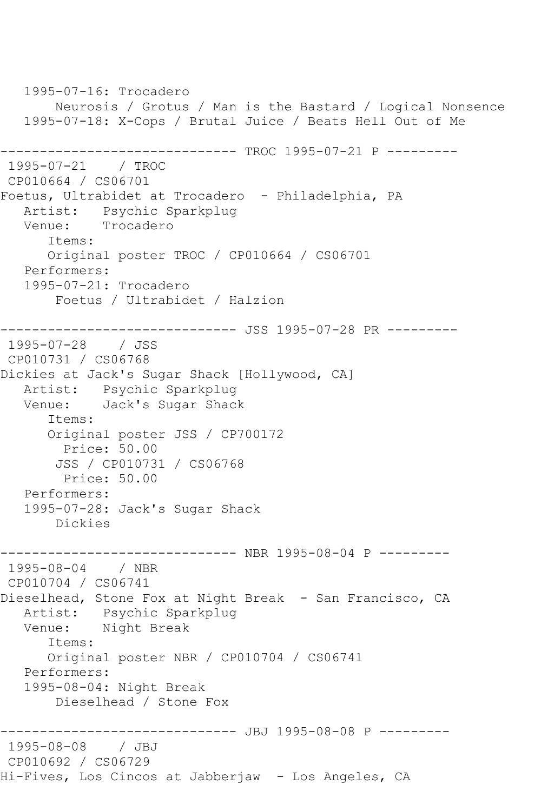1995-07-16: Trocadero Neurosis / Grotus / Man is the Bastard / Logical Nonsence 1995-07-18: X-Cops / Brutal Juice / Beats Hell Out of Me ------------------------------ TROC 1995-07-21 P --------- 1995-07-21 / TROC CP010664 / CS06701 Foetus, Ultrabidet at Trocadero - Philadelphia, PA Artist: Psychic Sparkplug Venue: Trocadero Items: Original poster TROC / CP010664 / CS06701 Performers: 1995-07-21: Trocadero Foetus / Ultrabidet / Halzion ------------------------------ JSS 1995-07-28 PR --------- 1995-07-28 / JSS CP010731 / CS06768 Dickies at Jack's Sugar Shack [Hollywood, CA] Artist: Psychic Sparkplug Venue: Jack's Sugar Shack Items: Original poster JSS / CP700172 Price: 50.00 JSS / CP010731 / CS06768 Price: 50.00 Performers: 1995-07-28: Jack's Sugar Shack Dickies ------------------------------ NBR 1995-08-04 P --------- 1995-08-04 / NBR CP010704 / CS06741 Dieselhead, Stone Fox at Night Break - San Francisco, CA Artist: Psychic Sparkplug Venue: Night Break Items: Original poster NBR / CP010704 / CS06741 Performers: 1995-08-04: Night Break Dieselhead / Stone Fox ------------------------------ JBJ 1995-08-08 P --------- 1995-08-08 / JBJ CP010692 / CS06729 Hi-Fives, Los Cincos at Jabberjaw - Los Angeles, CA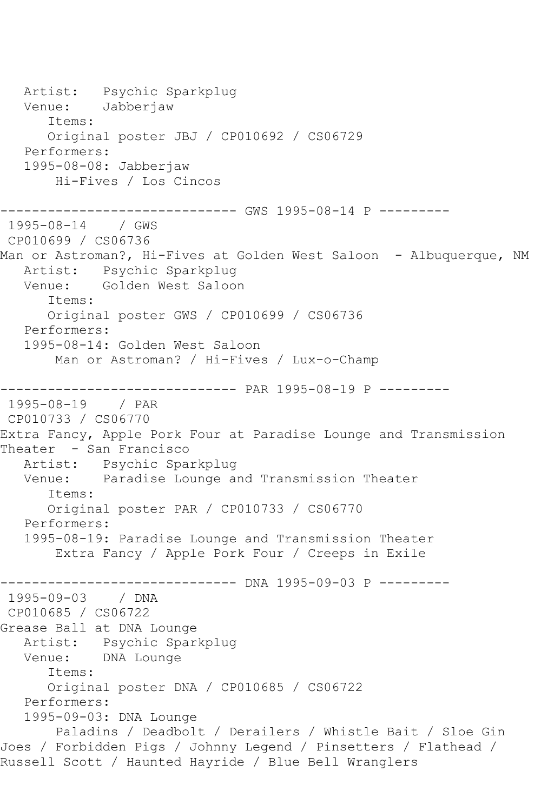Artist: Psychic Sparkplug Venue: Jabberjaw Items: Original poster JBJ / CP010692 / CS06729 Performers: 1995-08-08: Jabberjaw Hi-Fives / Los Cincos ----------------- GWS 1995-08-14 P ---------1995-08-14 / GWS CP010699 / CS06736 Man or Astroman?, Hi-Fives at Golden West Saloon - Albuquerque, NM Artist: Psychic Sparkplug Venue: Golden West Saloon Items: Original poster GWS / CP010699 / CS06736 Performers: 1995-08-14: Golden West Saloon Man or Astroman? / Hi-Fives / Lux-o-Champ ------------------------------ PAR 1995-08-19 P --------- 1995-08-19 / PAR CP010733 / CS06770 Extra Fancy, Apple Pork Four at Paradise Lounge and Transmission Theater - San Francisco Artist: Psychic Sparkplug<br>Venue: Paradise Lounge a Paradise Lounge and Transmission Theater Items: Original poster PAR / CP010733 / CS06770 Performers: 1995-08-19: Paradise Lounge and Transmission Theater Extra Fancy / Apple Pork Four / Creeps in Exile ------------------------------ DNA 1995-09-03 P --------- 1995-09-03 / DNA CP010685 / CS06722 Grease Ball at DNA Lounge Artist: Psychic Sparkplug Venue: DNA Lounge Items: Original poster DNA / CP010685 / CS06722 Performers: 1995-09-03: DNA Lounge Paladins / Deadbolt / Derailers / Whistle Bait / Sloe Gin Joes / Forbidden Pigs / Johnny Legend / Pinsetters / Flathead / Russell Scott / Haunted Hayride / Blue Bell Wranglers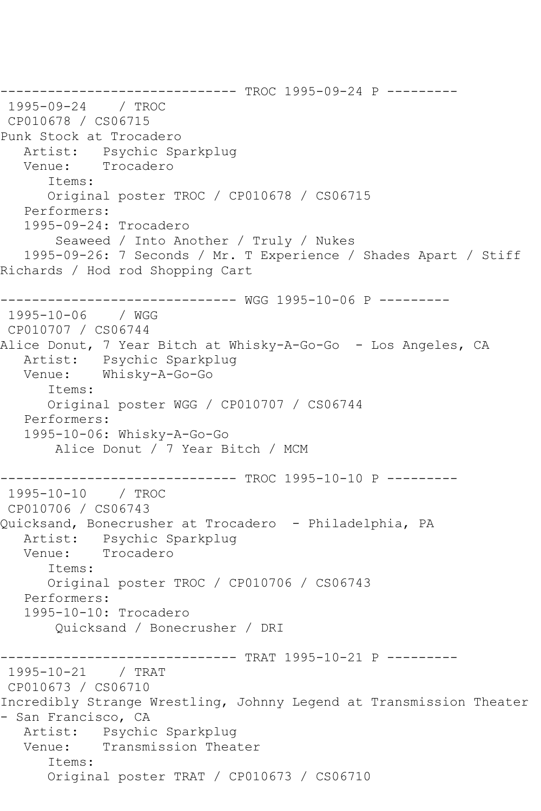------------------------------ TROC 1995-09-24 P --------- 1995-09-24 / TROC CP010678 / CS06715 Punk Stock at Trocadero Artist: Psychic Sparkplug Venue: Trocadero Items: Original poster TROC / CP010678 / CS06715 Performers: 1995-09-24: Trocadero Seaweed / Into Another / Truly / Nukes 1995-09-26: 7 Seconds / Mr. T Experience / Shades Apart / Stiff Richards / Hod rod Shopping Cart ------------------------------ WGG 1995-10-06 P --------- 1995-10-06 / WGG CP010707 / CS06744 Alice Donut, 7 Year Bitch at Whisky-A-Go-Go - Los Angeles, CA Artist: Psychic Sparkplug Venue: Whisky-A-Go-Go Items: Original poster WGG / CP010707 / CS06744 Performers: 1995-10-06: Whisky-A-Go-Go Alice Donut / 7 Year Bitch / MCM ------------------------------ TROC 1995-10-10 P --------- 1995-10-10 / TROC CP010706 / CS06743 Quicksand, Bonecrusher at Trocadero - Philadelphia, PA Artist: Psychic Sparkplug Venue: Trocadero Items: Original poster TROC / CP010706 / CS06743 Performers: 1995-10-10: Trocadero Quicksand / Bonecrusher / DRI ------------------------------ TRAT 1995-10-21 P --------- 1995-10-21 / TRAT CP010673 / CS06710 Incredibly Strange Wrestling, Johnny Legend at Transmission Theater - San Francisco, CA Artist: Psychic Sparkplug Venue: Transmission Theater Items: Original poster TRAT / CP010673 / CS06710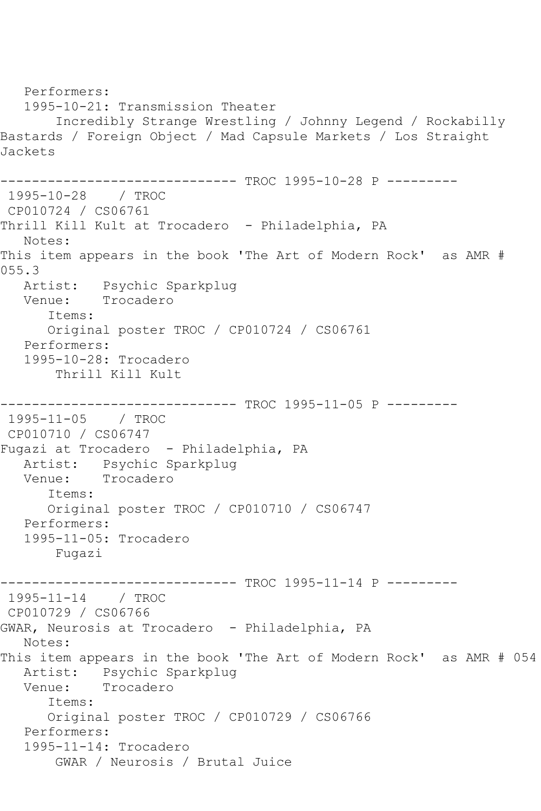Performers: 1995-10-21: Transmission Theater Incredibly Strange Wrestling / Johnny Legend / Rockabilly Bastards / Foreign Object / Mad Capsule Markets / Los Straight Jackets ------------------------------ TROC 1995-10-28 P --------- 1995-10-28 / TROC CP010724 / CS06761 Thrill Kill Kult at Trocadero - Philadelphia, PA Notes: This item appears in the book 'The Art of Modern Rock' as AMR # 055.3 Artist: Psychic Sparkplug Venue: Trocadero Items: Original poster TROC / CP010724 / CS06761 Performers: 1995-10-28: Trocadero Thrill Kill Kult ---------- TROC 1995-11-05 P ---------1995-11-05 / TROC CP010710 / CS06747 Fugazi at Trocadero - Philadelphia, PA Artist: Psychic Sparkplug<br>Venue: Trocadero Trocadero Items: Original poster TROC / CP010710 / CS06747 Performers: 1995-11-05: Trocadero Fugazi ------------------------------ TROC 1995-11-14 P --------- 1995-11-14 / TROC CP010729 / CS06766 GWAR, Neurosis at Trocadero - Philadelphia, PA Notes: This item appears in the book 'The Art of Modern Rock' as AMR # 054 Artist: Psychic Sparkplug Venue: Trocadero Items: Original poster TROC / CP010729 / CS06766 Performers: 1995-11-14: Trocadero GWAR / Neurosis / Brutal Juice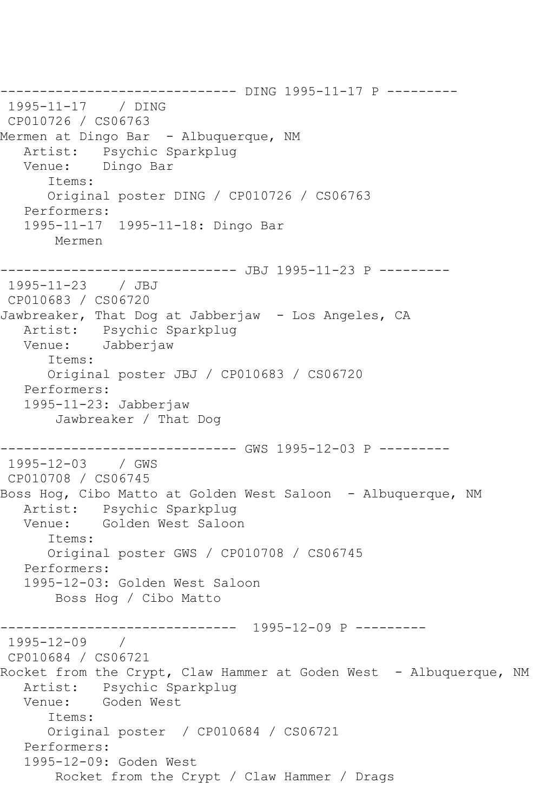------------------------------ DING 1995-11-17 P --------- 1995-11-17 / DING CP010726 / CS06763 Mermen at Dingo Bar - Albuquerque, NM Artist: Psychic Sparkplug Venue: Dingo Bar Items: Original poster DING / CP010726 / CS06763 Performers: 1995-11-17 1995-11-18: Dingo Bar Mermen ------------------------------ JBJ 1995-11-23 P --------- 1995-11-23 / JBJ CP010683 / CS06720 Jawbreaker, That Dog at Jabberjaw - Los Angeles, CA Artist: Psychic Sparkplug Venue: Jabberjaw Items: Original poster JBJ / CP010683 / CS06720 Performers: 1995-11-23: Jabberjaw Jawbreaker / That Dog ------------ GWS 1995-12-03 P ---------1995-12-03 / GWS CP010708 / CS06745 Boss Hog, Cibo Matto at Golden West Saloon - Albuquerque, NM Artist: Psychic Sparkplug Venue: Golden West Saloon Items: Original poster GWS / CP010708 / CS06745 Performers: 1995-12-03: Golden West Saloon Boss Hog / Cibo Matto ------------------------------ 1995-12-09 P --------- 1995-12-09 / CP010684 / CS06721 Rocket from the Crypt, Claw Hammer at Goden West - Albuquerque, NM Artist: Psychic Sparkplug Venue: Goden West Items: Original poster / CP010684 / CS06721 Performers: 1995-12-09: Goden West Rocket from the Crypt / Claw Hammer / Drags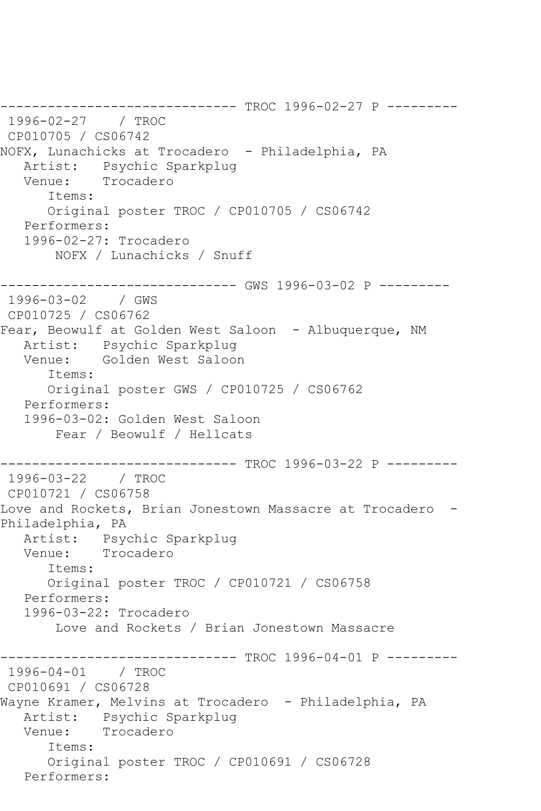------------------------------ TROC 1996-02-27 P --------- 1996-02-27 / TROC CP010705 / CS06742 NOFX, Lunachicks at Trocadero - Philadelphia, PA Artist: Psychic Sparkplug<br>Venue: Trocadero Trocadero Items: Original poster TROC / CP010705 / CS06742 Performers: 1996-02-27: Trocadero NOFX / Lunachicks / Snuff ------------------------------ GWS 1996-03-02 P --------- 1996-03-02 / GWS CP010725 / CS06762 Fear, Beowulf at Golden West Saloon - Albuquerque, NM Artist: Psychic Sparkplug Venue: Golden West Saloon Items: Original poster GWS / CP010725 / CS06762 Performers: 1996-03-02: Golden West Saloon Fear / Beowulf / Hellcats ------------------------------ TROC 1996-03-22 P --------- 1996-03-22 / TROC CP010721 / CS06758 Love and Rockets, Brian Jonestown Massacre at Trocadero -Philadelphia, PA Artist: Psychic Sparkplug Venue: Trocadero Items: Original poster TROC / CP010721 / CS06758 Performers: 1996-03-22: Trocadero Love and Rockets / Brian Jonestown Massacre ------------------------------ TROC 1996-04-01 P --------- 1996-04-01 / TROC CP010691 / CS06728 Wayne Kramer, Melvins at Trocadero - Philadelphia, PA Artist: Psychic Sparkplug Venue: Trocadero Items: Original poster TROC / CP010691 / CS06728 Performers: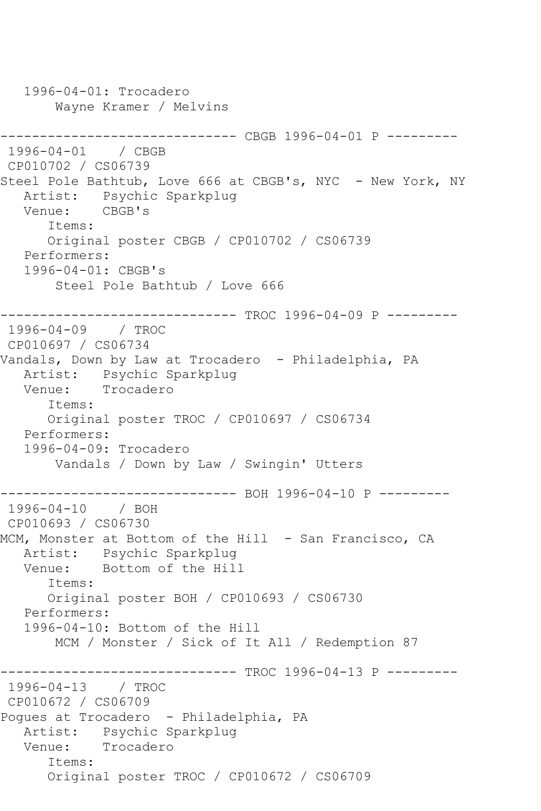1996-04-01: Trocadero Wayne Kramer / Melvins ------------------------------ CBGB 1996-04-01 P --------- 1996-04-01 / CBGB CP010702 / CS06739 Steel Pole Bathtub, Love 666 at CBGB's, NYC - New York, NY Artist: Psychic Sparkplug Venue: CBGB's Items: Original poster CBGB / CP010702 / CS06739 Performers: 1996-04-01: CBGB's Steel Pole Bathtub / Love 666 ------------------------------ TROC 1996-04-09 P --------- 1996-04-09 / TROC CP010697 / CS06734 Vandals, Down by Law at Trocadero - Philadelphia, PA Artist: Psychic Sparkplug<br>Venue: Trocadero Trocadero Items: Original poster TROC / CP010697 / CS06734 Performers: 1996-04-09: Trocadero Vandals / Down by Law / Swingin' Utters ------------ BOH 1996-04-10 P ---------1996-04-10 / BOH CP010693 / CS06730 MCM, Monster at Bottom of the Hill - San Francisco, CA Artist: Psychic Sparkplug Venue: Bottom of the Hill Items: Original poster BOH / CP010693 / CS06730 Performers: 1996-04-10: Bottom of the Hill MCM / Monster / Sick of It All / Redemption 87 ------------------------------ TROC 1996-04-13 P --------- 1996-04-13 / TROC CP010672 / CS06709 Pogues at Trocadero - Philadelphia, PA Artist: Psychic Sparkplug Venue: Trocadero Items: Original poster TROC / CP010672 / CS06709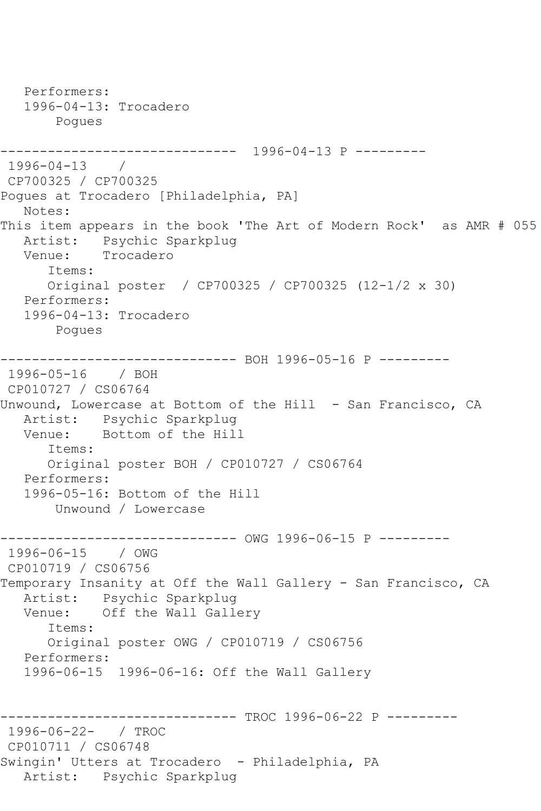Performers: 1996-04-13: Trocadero Pogues ------------------------------ 1996-04-13 P --------- 1996-04-13 / CP700325 / CP700325 Pogues at Trocadero [Philadelphia, PA] Notes: This item appears in the book 'The Art of Modern Rock' as AMR # 055 Artist: Psychic Sparkplug Venue: Trocadero Items: Original poster / CP700325 / CP700325 (12-1/2 x 30) Performers: 1996-04-13: Trocadero Pogues ------------------------------ BOH 1996-05-16 P --------- 1996-05-16 / BOH CP010727 / CS06764 Unwound, Lowercase at Bottom of the Hill - San Francisco, CA Artist: Psychic Sparkplug<br>Venue: Bottom of the Hill Bottom of the Hill Items: Original poster BOH / CP010727 / CS06764 Performers: 1996-05-16: Bottom of the Hill Unwound / Lowercase ------------------------------ OWG 1996-06-15 P --------- 1996-06-15 / OWG CP010719 / CS06756 Temporary Insanity at Off the Wall Gallery - San Francisco, CA Artist: Psychic Sparkplug Venue: Off the Wall Gallery Items: Original poster OWG / CP010719 / CS06756 Performers: 1996-06-15 1996-06-16: Off the Wall Gallery ------------------------------ TROC 1996-06-22 P --------- 1996-06-22- / TROC CP010711 / CS06748 Swingin' Utters at Trocadero - Philadelphia, PA Artist: Psychic Sparkplug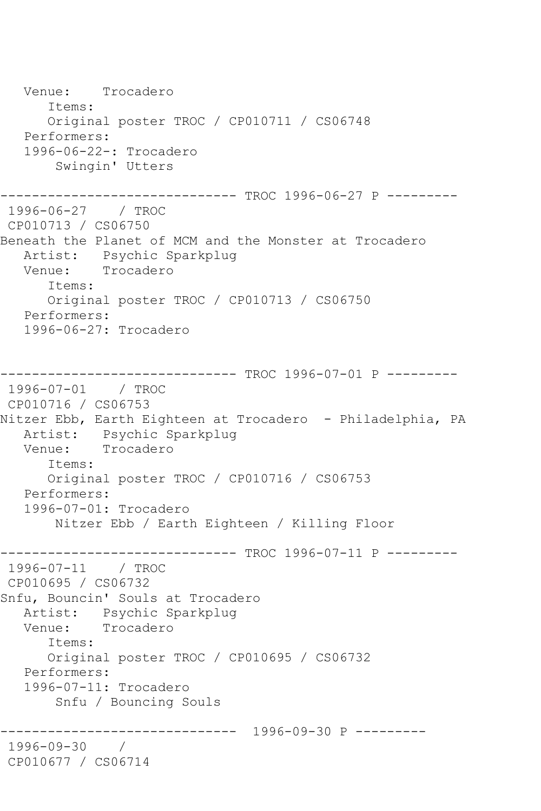Venue: Trocadero Items: Original poster TROC / CP010711 / CS06748 Performers: 1996-06-22-: Trocadero Swingin' Utters ------------------------------ TROC 1996-06-27 P --------- 1996-06-27 / TROC CP010713 / CS06750 Beneath the Planet of MCM and the Monster at Trocadero Artist: Psychic Sparkplug<br>Venue: Trocadero Trocadero Items: Original poster TROC / CP010713 / CS06750 Performers: 1996-06-27: Trocadero ------------------------------ TROC 1996-07-01 P --------- 1996-07-01 / TROC CP010716 / CS06753 Nitzer Ebb, Earth Eighteen at Trocadero - Philadelphia, PA Artist: Psychic Sparkplug Venue: Trocadero Items: Original poster TROC / CP010716 / CS06753 Performers: 1996-07-01: Trocadero Nitzer Ebb / Earth Eighteen / Killing Floor ------------------------------ TROC 1996-07-11 P --------- 1996-07-11 / TROC CP010695 / CS06732 Snfu, Bouncin' Souls at Trocadero Artist: Psychic Sparkplug<br>Venue: Trocadero Trocadero Items: Original poster TROC / CP010695 / CS06732 Performers: 1996-07-11: Trocadero Snfu / Bouncing Souls ------------------------------ 1996-09-30 P --------- 1996-09-30 / CP010677 / CS06714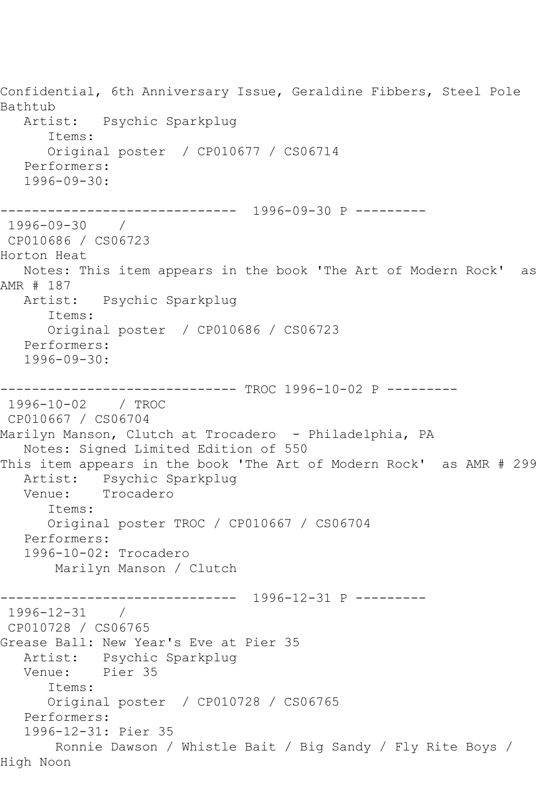Confidential, 6th Anniversary Issue, Geraldine Fibbers, Steel Pole Bathtub Artist: Psychic Sparkplug Items: Original poster / CP010677 / CS06714 Performers: 1996-09-30: ------------------------------ 1996-09-30 P --------- 1996-09-30 / CP010686 / CS06723 Horton Heat Notes: This item appears in the book 'The Art of Modern Rock' as AMR # 187 Artist: Psychic Sparkplug Items: Original poster / CP010686 / CS06723 Performers: 1996-09-30: ------------------------------ TROC 1996-10-02 P --------- 1996-10-02 / TROC CP010667 / CS06704 Marilyn Manson, Clutch at Trocadero - Philadelphia, PA Notes: Signed Limited Edition of 550 This item appears in the book 'The Art of Modern Rock' as AMR # 299 Artist: Psychic Sparkplug Venue: Trocadero Items: Original poster TROC / CP010667 / CS06704 Performers: 1996-10-02: Trocadero Marilyn Manson / Clutch ------------------------------ 1996-12-31 P --------- 1996-12-31 / CP010728 / CS06765 Grease Ball: New Year's Eve at Pier 35 Artist: Psychic Sparkplug<br>Venue: Pier 35 Pier 35 Items: Original poster / CP010728 / CS06765 Performers: 1996-12-31: Pier 35 Ronnie Dawson / Whistle Bait / Big Sandy / Fly Rite Boys / High Noon